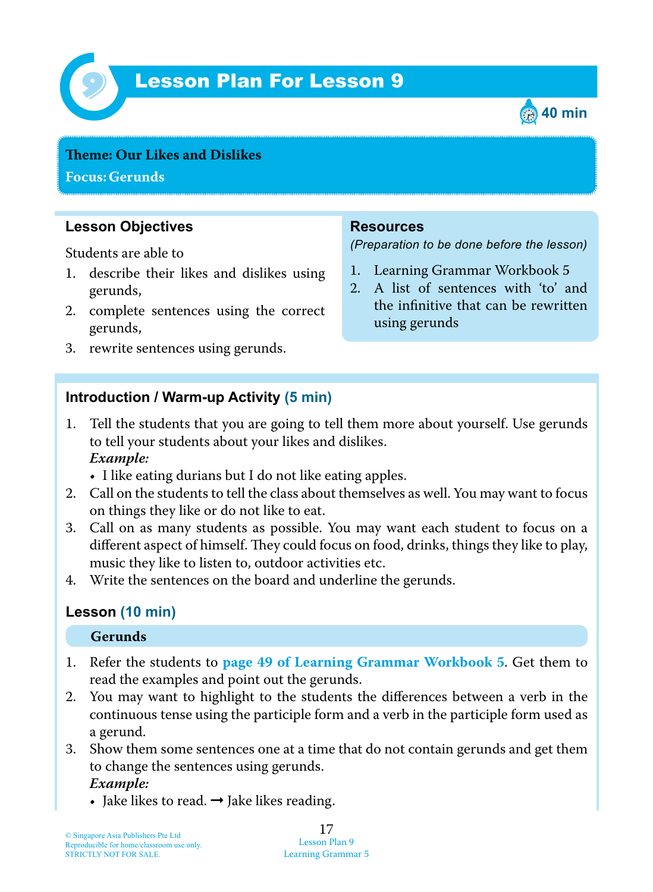

## Lesson Plan For Lesson 9 *9*



# **Teme : Our Likes and Dislikes**

**Focus: Gerunds**

### **Lesson Objectives**

Students are able to

- 1. describe their likes and dislikes using gerunds,
- 2. complete sentences using the correct gerunds,
- 3. rewrite sentences using gerunds.

#### **Resources**

*(Preparation to be done before the lesson)*

- 1. Learning Grammar Workbook 5
- 2. A list of sentences with 'to' and the infinitive that can be rewritten using gerunds

#### **Introduction / Warm-up Activity (5 min)**

- 1. Tell the students that you are going to tell them more about yourself. Use gerunds to tell your students about your likes and dislikes.  *Example:*
	- I like eating durians but I do not like eating apples.
- 2. Call on the students to tell the class about themselves as well. You may want to focus on things they like or do not like to eat.
- 3. Call on as many students as possible. You may want each student to focus on a different aspect of himself. They could focus on food, drinks, things they like to play, music they like to listen to, outdoor activities etc.
- 4. Write the sentences on the board and underline the gerunds.

#### **Lesson (10 min)**

#### **Gerunds**

- 1. Refer the students to **page 49 of Learning Grammar Workbook 5**. Get them to read the examples and point out the gerunds.
- 2. You may want to highlight to the students the differences between a verb in the continuous tense using the participle form and a verb in the participle form used as a gerund.
- 3. Show them some sentences one at a time that do not contain gerunds and get them to change the sentences using gerunds.  *Example:*
	- Jake likes to read.  $\rightarrow$  Jake likes reading.